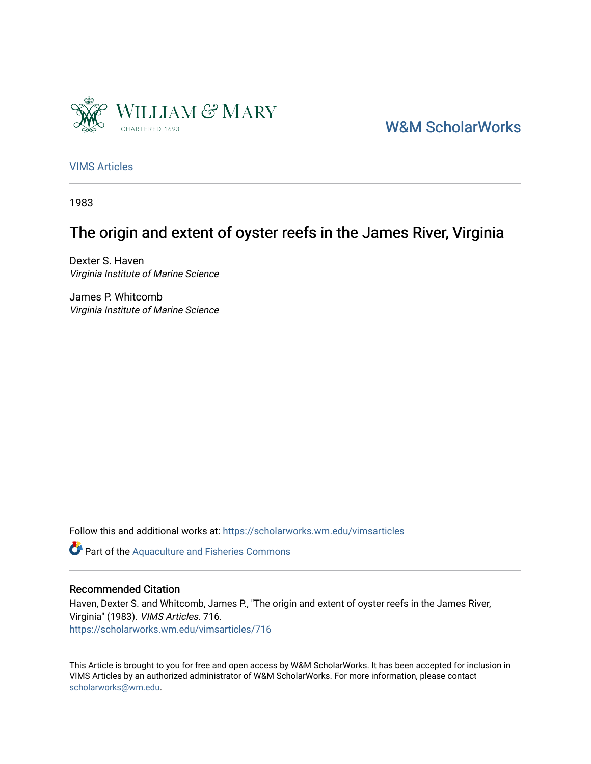

[W&M ScholarWorks](https://scholarworks.wm.edu/) 

[VIMS Articles](https://scholarworks.wm.edu/vimsarticles)

1983

# The origin and extent of oyster reefs in the James River, Virginia

Dexter S. Haven Virginia Institute of Marine Science

James P. Whitcomb Virginia Institute of Marine Science

Follow this and additional works at: [https://scholarworks.wm.edu/vimsarticles](https://scholarworks.wm.edu/vimsarticles?utm_source=scholarworks.wm.edu%2Fvimsarticles%2F716&utm_medium=PDF&utm_campaign=PDFCoverPages)

Part of the [Aquaculture and Fisheries Commons](http://network.bepress.com/hgg/discipline/78?utm_source=scholarworks.wm.edu%2Fvimsarticles%2F716&utm_medium=PDF&utm_campaign=PDFCoverPages)

# Recommended Citation

Haven, Dexter S. and Whitcomb, James P., "The origin and extent of oyster reefs in the James River, Virginia" (1983). VIMS Articles. 716. [https://scholarworks.wm.edu/vimsarticles/716](https://scholarworks.wm.edu/vimsarticles/716?utm_source=scholarworks.wm.edu%2Fvimsarticles%2F716&utm_medium=PDF&utm_campaign=PDFCoverPages)

This Article is brought to you for free and open access by W&M ScholarWorks. It has been accepted for inclusion in VIMS Articles by an authorized administrator of W&M ScholarWorks. For more information, please contact [scholarworks@wm.edu.](mailto:scholarworks@wm.edu)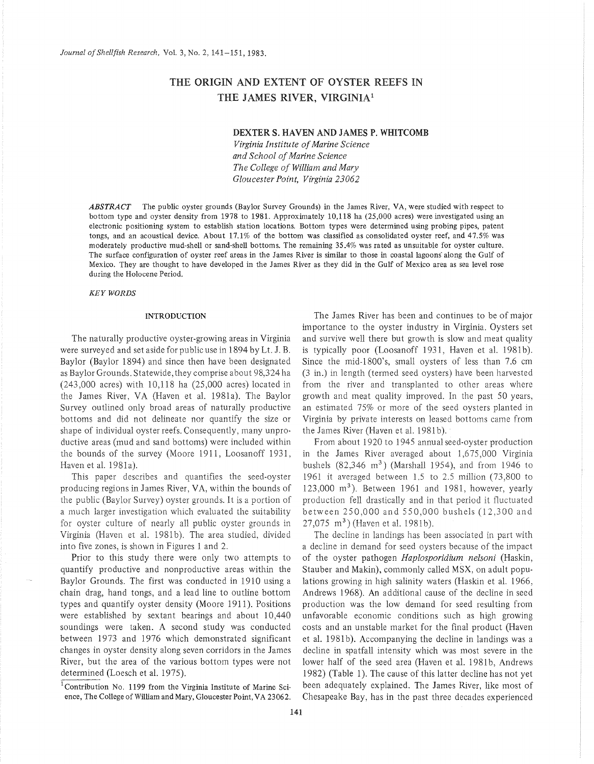# THE ORIGIN AND EXTENT OF OYSTER REEFS IN THE JAMES RIVER, VIRGINIA1

# DEXTER S. HAVEN AND JAMES P. WHITCOMB

*Virginia Institute of Marine Science and School of Marine Science The College of William and Mary Gloucester Point, Virginia 23062* 

**ABSTRACT** The public oyster grounds (Baylor Survey Grounds) in the James River, VA, were studied with respect to bottom type and oyster density from 1978 to 1981. Approximately 10,118 ha (25,000 acres) were investigated using an electronic positioning system to establish station locations. Bottom types were determined using probing pipes, patent tongs, and an acoustical device. About 17.1% of the bottom was classified as consolidated oyster reef, and 47.5% was moderately productive mud-shell or sand-shell bottoms. The remaining 35.4% was rated as unsuitable for oyster culture. The surface configuration of oyster reef areas in the James River is similar to those in coastal lagoons along the Gulf of Mexico. They are thought to have developed in the James River as they did in the Gulf of Mexico area as sea level rose during the Holocene Period.

*KEYWORDS* 

#### INTRODUCTION

The naturally productive oyster-growing areas in Virginia were surveyed and set aside for public use in 1894 by Lt. J. B. Baylor (Baylor 1894) and since then have been designated as Baylor Grounds. Statewide, they comprise about 98,324 ha (243,000 acres) with 10,118 ha (25,000 acres) located in the James River, VA (Haven et al. 1981a). The Baylor Survey outlined only broad areas of naturally productive bottoms and did not delineate nor quantify the size or shape of individual oyster reefs. Consequently, many unproductive areas (mud and sand bottoms) were included within the bounds of the survey (Moore 1911, Loosanoff 1931, Haven et al. 1981a).

This paper describes and quantifies the seed-oyster producing regions in James River, VA, within the bounds of the public (Baylor Survey) oyster grounds. It is a portion of a much larger investigation which evaluated the suitability for oyster culture of nearly all public oyster grounds in Virginia (Haven et al. 1981b). The area studied, divided into five zones, is shown in Figures 1 and 2.

Prior to this study there were only two attempts to quantify productive and nonproductive areas within the Baylor Grounds. The first was conducted in 1910 using a chain drag, hand tongs, and a lead line to outline bottom types and quantify oyster density (Moore 1911 ). Positions were established by sextant bearings and about 10,440 soundings were taken. A second study was conducted between 1973 and 1976 which demonstrated significant changes in oyster density along seven corridors in the James River, but the area of the various bottom types were not determined (Loesch et al. 1975).

The James River has been and continues to be of major importance to the oyster industry in Virginia. Oysters set and survive well there but growth is slow and meat quality is typically poor (Loosanoff 1931, Haven et al. 1981b). Since the mid-1800's, small oysters of less than 7.6 em (3 in.) in length (termed seed oysters) have been harvested from the river and transplanted to other areas where growth and meat quality improved. In the past 50 years, an estimated 75% or more of the seed oysters planted in Virginia by private interests on leased bottoms came from the James River (Haven et al. 1981b).

From about 1920 to 1945 annual seed-oyster production in the James River averaged about 1,675,000 Virginia bushels  $(82,346 \text{ m}^3)$  (Marshall 1954), and from 1946 to 1961 it averaged between 1.5 to 2.5 million (73,800 to 123,000  $m<sup>3</sup>$ ). Between 1961 and 1981, however, yearly production fell drastically and in that period it fluctuated between 250,000 and 550,000 bushels (12,300 and 27,075 m<sup>3</sup>) (Haven et al. 1981b).

The decline in landings has been associated in part with a decline in demand for seed oysters because of the impact of the oyster pathogen *Haplosporidium nelsoni* (Haskin, Stauber and Makin), commonly called MSX, on adult populations growing in high salinity waters (Haskin et al. 1966, Andrews 1968). An additional cause of the decline in seed production was the low demand for seed resulting from unfavorable economic conditions such as high growing costs and an unstable market for the final product (Haven et al. 1981b). Accompanying the decline in landings was a decline in spatfall intensity which was most severe in the lower half of the seed area (Haven et al. 1981b, Andrews 1982) (Table 1). The cause of this latter decline has not yet been adequately explained. The James River, like most of Chesapeake Bay, has in the past three decades experienced

 $^1$ Contribution No. 1199 from the Virginia Institute of Marine Science, The College of William and Mary, Gloucester Point, VA 23062.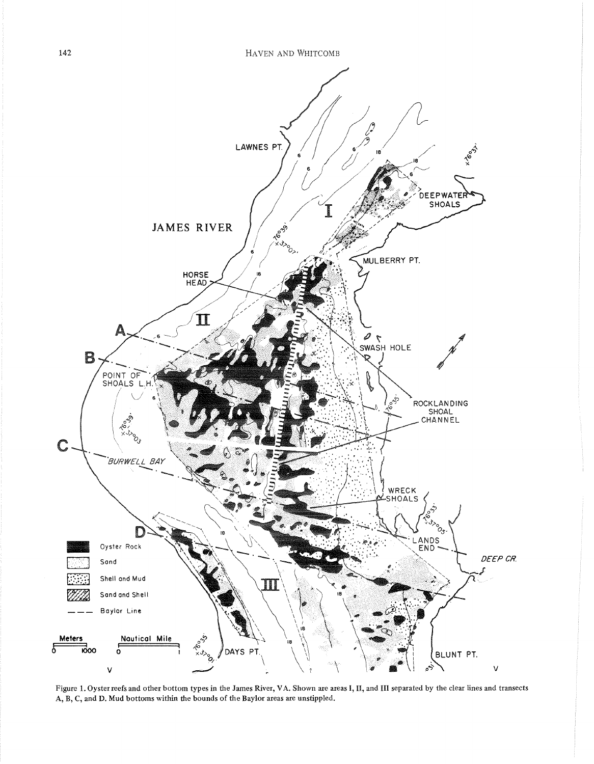

Figure 1. Oyster reefs and other bottom types in the James River, VA. Shown are areas I, II, and III separated by the clear lines and transects A, B, C, and D. Mud bottoms within the bounds of the Baylor areas are unstippled.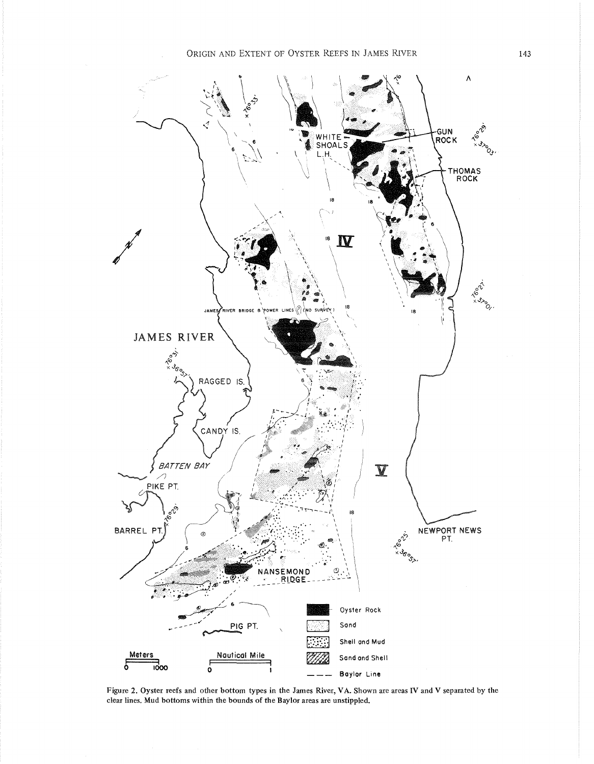

Figure 2. Oyster reefs and other bottom types in the James River, VA. Shown are areas IV and V separated by the clear lines. Mud bottoms within the bounds of the Baylor areas are unstippled.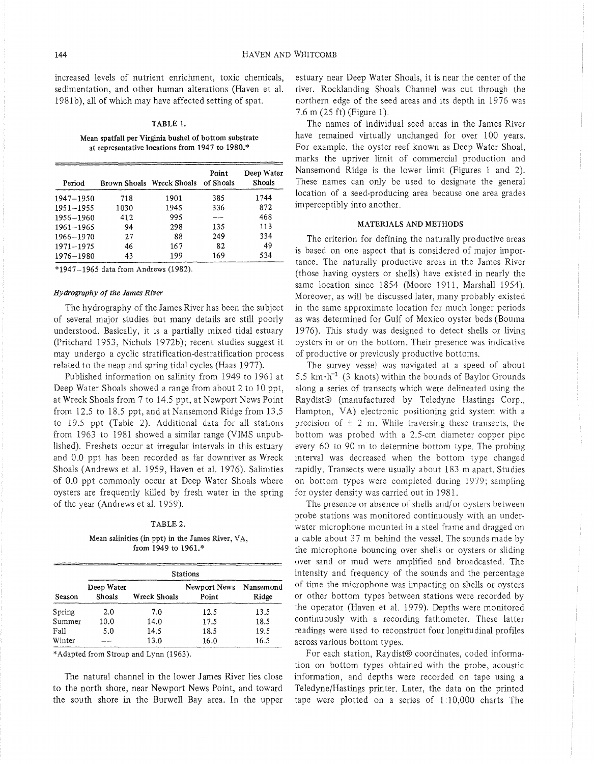increased levels of nutrient enrichment, toxic chemicals, sedimentation, and other human alterations (Haven et al. 1981b), all of which may have affected setting of spat.

## TABLE 1.

Mean spatfall per Virginia bushel of bottom substrate at representative locations from 1947 to 1980.\*

| Period        |      | Brown Shoals Wreck Shoals | Point<br>of Shoals | Deep Water<br>Shoals |
|---------------|------|---------------------------|--------------------|----------------------|
| 1947-1950     | 718  | 1901                      | 385                | 1744                 |
| $1951 - 1955$ | 1030 | 1945                      | 336                | 872                  |
| 1956-1960     | 412  | 995                       |                    | 468                  |
| $1961 - 1965$ | 94   | 298                       | 135                | 113                  |
| 1966-1970     | 27   | 88                        | 249                | 334                  |
| $1971 - 1975$ | 46   | 167                       | 82                 | 49                   |
| 1976-1980     | 43   | 199                       | 169                | 534                  |

\*1947-1965 data from Andrews (1982).

#### *Hydrography of the James River*

The hydrography of the James River has been the subject of several major studies but many details are still poorly understood. Basically, it is a partially mixed tidal estuary (Pritchard 1953, Nichols 1972b); recent studies suggest it may undergo a cyclic stratification-destratification process related to the neap and spring tidal cycles (Haas 1977).

Published information on salinity from 1949 to 1961 at Deep Water Shoals showed a range from about 2 to 10 ppt, at Wreck Shoals from 7 to 14.5 ppt, at Newport News Point from 12.5 to 18.5 ppt, and at Nansemond Ridge from 13.5 to 19.5 ppt (Table 2). Additional data for all stations from 1963 to 1981 showed a similar range (VIMS unpublished). Freshets occur at irregular intervals in this estuary and 0.0 ppt has been recorded as far downriver as Wreck Shoals (Andrews et al. 1959, Haven et al. 1976). Salinities of 0.0 ppt commonly occur at Deep Water Shoals where oysters are frequently killed by fresh water in the spring of the year (Andrews et al. 1959).

## TABLE 2.

Mean salinities (in ppt) in the James River, VA, from 1949 to 1961.\*

|        | <b>Stations</b>      |              |                       |                    |  |  |
|--------|----------------------|--------------|-----------------------|--------------------|--|--|
| Season | Deep Water<br>Shoals | Wreck Shoals | Newport News<br>Point | Nansemond<br>Ridge |  |  |
| Spring | 2.0                  | 7.0          | 12.5                  | 13.5               |  |  |
| Summer | 10.0                 | 14.0         | 17.5                  | 18.5               |  |  |
| Fall   | 5.0                  | 14.5         | 18.5                  | 19.5               |  |  |
| Winter |                      | 13.0         | 16.0                  | 16.5               |  |  |

\*Adapted from Stroup and Lynn (1963).

The natural channel in the lower James River lies close to the north shore, near Newport News Point, and toward the south shore in the Burwell Bay area. In the upper estuary near Deep Water Shoals, it is near the center of the river. Rocklanding Shoals Channel was cut through the northern edge of the seed areas and its depth in 1976 was 7.6 m (25ft) (Figure 1).

The names of individual seed areas in the James River have remained virtually unchanged for over 100 years. For example, the oyster reef known as Deep Water Shoal, marks the upriver limit of commercial production and Nansemond Ridge is the lower limit (Figures 1 and 2). These names can only be used to designate the general location of a seed-producing area because one area grades imperceptibly into another.

# MATERIALS AND METHODS

The criterion for defining the naturally productive areas is based on one aspect that is considered of major importance. The naturally productive areas in the James River (those having oysters or shells) have existed in nearly the same location since 1854 (Moore 1911, Marshall 1954). Moreover, as will be discussed later, many probably existed in the same approximate location for much longer periods as was determined for Gulf of Mexico oyster beds (Bouma 1976). This study was designed to detect shells or living oysters in or on the bottom. Their presence was indicative of productive or previously productive bottoms.

The survey vessel was navigated at a speed of about 5.5  $km \cdot h^{-1}$  (3 knots) within the bounds of Baylor Grounds along a series of transects which were delineated using the Raydist® (manufactured by Teledyne Hastings Corp., Hampton, VA) electronic positioning grid system with a precision of  $\pm$  2 m. While traversing these transects, the bottom was probed with a 2.5-cm diameter copper pipe every 60 to 90 m to determine bottom type. The probing interval was decreased when the bottom type changed rapidly. Transects were usually about 183 m apart. Studies on bottom types were completed during 1979; sampling for oyster density was carried out in 1981.

The presence or absence of shells and/ or ovsters between probe stations was monitored continuously with an underwater microphone mounted in a steel frame and dragged on a cable about 37 m behind the vessel. The sounds made by the microphone bouncing over shells or oysters or sliding over sand or mud were amplified and broadcasted. The intensity and frequency of the sounds and the percentage of time the microphone was impacting on shells or oysters or other bottom types between stations were recorded by the operator (Haven et al. 1979). Depths were monitored continuously with a recording fathometer. These latter readings were used to reconstruct four longitudinal profiles across various bottom types.

For each station, Raydist® coordinates, coded information on bottom types obtained with the probe, acoustic information, and depths were recorded on tape using a Teledyne/Hastings printer. Later, the data on the printed tape were plotted on a series of 1:10,000 charts The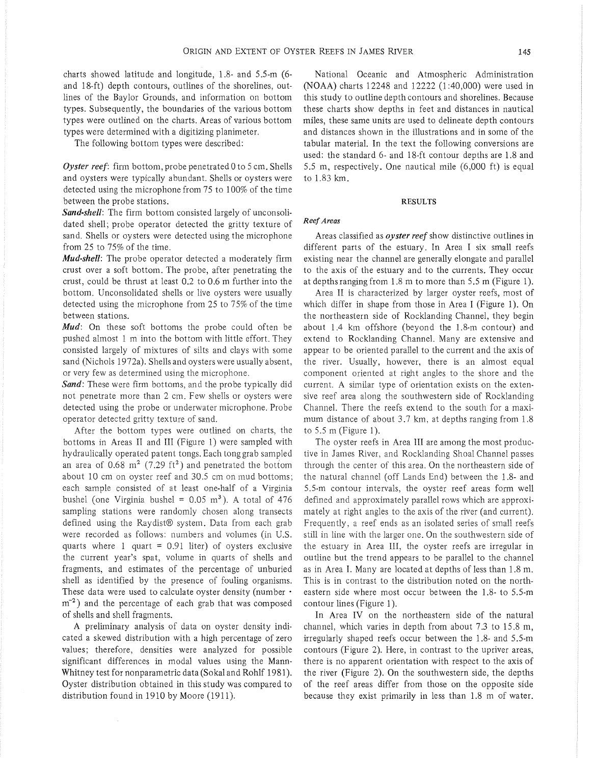charts showed latitude and longitude, 1.8- and 5.5-m (6 and 18-ft) depth contours, outlines of the shorelines, outlines of the Baylor Grounds, and information on bottom types. Subsequently, the boundaries of the various bottom types were outlined on the charts. Areas of various bottom types were determined with a digitizing planimeter.

The following bottom types were described:

*Oyster reef:* firm bottom, probe penetrated 0 to 5 em. Shells and oysters were typically abundant. Shells or oysters were detected using the microphone from 75 to 100% of the time between the probe stations.

*Sand-shell:* The firm bottom consisted largely of unconsolidated shell; probe operator detected the gritty texture of sand. Shells or oysters were detected using the microphone from 25 to 75% of the time.

*Mud-shell:* The probe operator detected a moderately firm crust over a soft bottom. The probe, after penetrating the crust, could be thrust at least 0.2 to 0.6 m further into the bottom. Unconsolidated shells or live oysters were usually detected using the microphone from 25 to 75% of the time between stations.

*Mud:* On these soft bottoms the probe could often be pushed almost 1 m into the bottom with little effort. They consisted largely of mixtures of silts and clays with some sand (Nichols 1972a). Shells and oysters were usually absent, or very few as determined using the microphone.

Sand: These were firm bottoms, and the probe typically did not penetrate more than 2 em. Few shells or oysters were detected using the probe or underwater microphone. Probe operator detected gritty texture of sand.

After the bottom types were outlined on charts, the bottoms in Areas II and III (Figure 1) were sampled with hydraulically operated patent tongs. Each tong grab sampled an area of 0.68  $m^2$  (7.29 ft<sup>2</sup>) and penetrated the bottom about 10 em on oyster reef and 30.5 em on mud bottoms; each sample consisted of at least one-half of a Virginia bushel (one Virginia bushel =  $0.05 \text{ m}^3$ ). A total of 476 sampling stations were randomly chosen along transects defined using the Raydist® system. Data from each grab were recorded as follows: numbers and volumes (in U.S. quarts where  $1$  quart = 0.91 liter) of oysters exclusive the current year's spat, volume in quarts of shells and fragments, and estimates of the percentage of unburied shell as identified by the presence of fouling organisms. These data were used to calculate oyster density (number ·  $m^{-2}$ ) and the percentage of each grab that was composed of shells and shell fragments.

A preliminary analysis of data on oyster density indicated a skewed distribution with a high percentage of zero values; therefore, densities were analyzed for possible significant differences in modal values using the Mann-Whitney test for nonparametric data (Sokal and Rohlf 1981). Oyster distribution obtained in this study was compared to distribution found in 1910 by Moore (1911).

National Oceanic and Atmospheric Administration (NOAA) charts 12248 and 12222 (1 :40,000) were used in this study to outline depth contours and shorelines. Because these charts show depths in feet and distances in nautical miles, these same units are used to delineate depth contours and distances shown in the illustrations and in some of the tabular material. In the text the following conversions are used: the standard 6- and 18-ft contour depths are 1.8 and 5.5 m, respectively. One nautical mile (6,000 ft) is equal to 1.83 km.

#### RESULTS

# *Reef Areas*

Areas classified as *oyster reef* show distinctive outlines in different parts of the estuary. In Area I six small reefs existing near the channel are generally elongate and parallel to the axis of the estuary and to the currents. They occur at depths ranging from 1.8 m to more than 5.5 m (Figure 1).

Area II is characterized by larger oyster reefs, most of which differ in shape from those in Area I (Figure 1). On the northeastern side of Rocklanding Channel, they begin about 1.4 km offshore (beyond the 1.8-m contour) and extend to Rocklanding Channel. Many are extensive and appear to be oriented parallel to the current and the axis of the river. Usually, however, there is an almost equal component oriented at right angles to the shore and the current. A similar type of orientation exists on the extensive reef area along the southwestern side of Rocklanding Channel. There the reefs extend to the south for a maximum distance of about  $3.7 \text{ km}$ , at depths ranging from  $1.8 \text{ m}$ to 5.5 m (Figure 1).

The oyster reefs in Area III are among the most productive in James River, and Rocklanding Shoal Channel passes through the center of this area. On the northeastern side of the natural channel (off Lands End) between the 1.8- and 5.5-m contour intervals, the oyster reef areas form well defined and approximately parallel rows which are approximately at right angles to the axis of the river (and current). Frequently, a reef ends as an isolated series of small reefs still in line with the larger one. On the southwestern side of the estuary in Area III, the oyster reefs are irregular in outline but the trend appears to be parallel to the channel as in Area I. Many are located at depths of less than 1.8 m. This is in contrast to the distribution noted on the northeastern side where most occur between the 1.8- to 5.5-m contour lines (Figure 1).

In Area IV on the northeastern side of the natural channel, which varies in depth from about 7.3 to 15.8 m, irregularly shaped reefs occur between the 1.8- and 5.5-m contours (Figure 2). Here, in contrast to the upriver areas, there is no apparent orientation with respect to the axis of the river (Figure 2). On the southwestern side, the depths of the reef areas differ from those on the opposite side because they exist primarily in less than 1.8 m of water.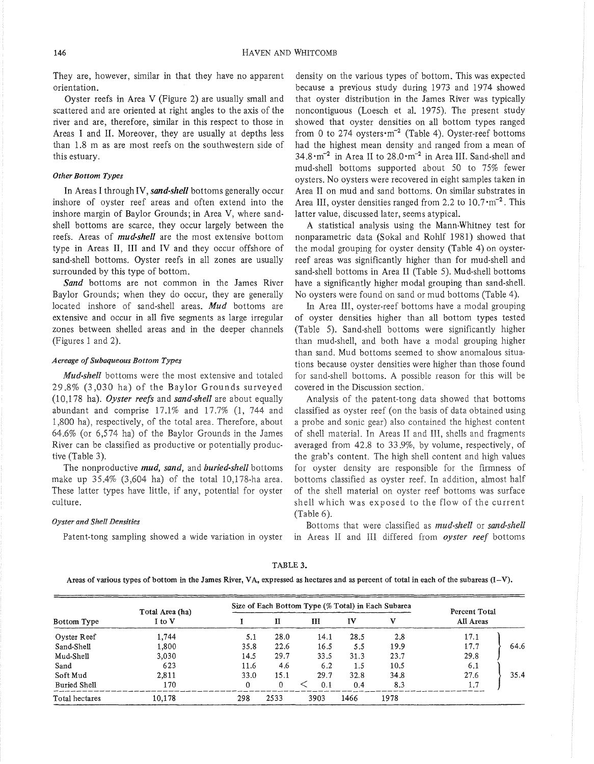They are, however, similar in that they have no apparent orientation.

Oyster reefs in Area V (Figure 2) are usually small and scattered and are oriented at right angles to the axis of the river and are, therefore, similar in this respect to those in Areas I and II. Moreover, they are usually at depths less than 1.8 m as are most reefs on the southwestern side of this estuary.

# *Other Bottom Types*

In Areas I through IV, *sand-shell* bottoms generally occur inshore of oyster reef areas and often extend into the inshore margin of Baylor Grounds; in Area V, where sandshell bottoms are scarce, they occur largely between the reefs. Areas of *mud-shell* are the most extensive bottom type in Areas II, III and IV and they occur offshore of sand-shell bottoms. Oyster reefs in all zones are usually surrounded by this type of bottom.

*Sand* bottoms are not common in the James River Baylor Grounds; when they do occur, they are generally located inshore of sand-shell areas. *Mud* bottoms are extensive and occur in all five segments as large irregular zones between shelled areas and in the deeper channels (Figures 1 and 2).

# *Acreage of Subaqueous Bottom Types*

*Mud-shell* bottoms were the most extensive and totaled 29.8% (3,030 ha) of the Baylor Grounds surveyed (1 0,178 ha). *Oyster reefs* and *sand-shell* are about equally abundant and comprise 17.1% and 17.7% (1, 744 and 1,800 ha), respectively, of the total area. Therefore, about 64.6% (or 6,574 ha) of the Baylor Grounds in the James River can be classified as productive or potentially productive (Table 3).

The nonproductive *mud, sand,* and *buried-shell* bottoms make up 35.4% (3,604 ha) of the total 10,178-ha area. These latter types have little, if any, potential for oyster culture.

#### *Oyster and Shell Densities*

Patent-tong sampling showed a wide variation in oyster

density on the various types of bottom. This was expected because a previous study during 1973 and 1974 showed that oyster distribution in the James River was typically noncontiguous (Loesch et al. 1975). The present study showed that oyster densities on all bottom types ranged from 0 to 274 oysters $\cdot$ m<sup>-2</sup> (Table 4). Oyster-reef bottoms had the highest mean density and ranged from a mean of 34.8·m-2 in Area II to 28.0·m-2 in Area III. Sand-shell and mud-shell bottoms supported about 50 to 75% fewer oysters. No oysters were recovered in eight samples taken in Area II on mud and sand bottoms. On similar substrates in Area III, oyster densities ranged from 2.2 to  $10.7 \cdot m^{-2}$ . This latter value, discussed later, seems atypical.

A statistical analysis using the Mann-Whitney test for nonparametric data (Sokal and Rohlf 1981) showed that the modal grouping for oyster density (Table 4) on oysterreef areas was significantly higher than for mud-shell and sand-shell bottoms in Area II (Table 5). Mud-shell bottoms have a significantly higher modal grouping than sand-shell. No oysters were found on sand or mud bottoms (Table 4).

In Area III, oyster-reef bottoms have a modal grouping of oyster densities higher than all bottom types tested (Table 5). Sand-shell bottoms were significantly higher than mud-shell, and both have a modal grouping higher than sand. Mud bottoms seemed to show anomalous situations because oyster densities were higher than those found for sand-shell bottoms. A possible reason for this will be covered in the Discussion section.

Analysis of the patent-tong data showed that bottoms classified as oyster reef (on the basis of data obtained using a probe and sonic gear) also contained the highest content of shell material. In Areas II and III, shells and fragments averaged from 42.8 to 33.9%, by volume, respectively, of the grab's content. The high shell content and high values for oyster density are responsible for the firmness of bottoms classified as oyster reef. In addition, almost half of the shell material on oyster reef bottoms was surface shell which was exposed to the flow of the current (Table 6).

Bottoms that were classified as *mud-shell* or *sand-shell*  in Areas II and III differed from *oyster reef* bottoms

|                | Total Area (ha) |      | Size of Each Bottom Type (% Total) in Each Subarea |      |      |      | Percent Total |      |
|----------------|-----------------|------|----------------------------------------------------|------|------|------|---------------|------|
| Bottom Type    | I to V          |      | п                                                  | Ш    | IV   | v    | All Areas     |      |
| Oyster Reef    | 1.744           | 5.1  | 28.0                                               | 14.1 | 28.5 | 2.8  | 17.1          |      |
| Sand-Shell     | 1.800           | 35.8 | 22.6                                               | 16.5 | 5.5  | 19.9 | 17.7          | 64.6 |
| Mud-Shell      | 3.030           | 14.5 | 29.7                                               | 33.5 | 31.3 | 23.7 | 29.8          |      |
| Sand           | 623             | 11.6 | 4.6                                                | 6.2  | 1.5  | 10.5 | 6.1           |      |
| Soft Mud       | 2.811           | 33.0 | 15.1                                               | 29.7 | 32.8 | 34.8 | 27.6          | 35.4 |
| Buried Shell   | 170             | 0    | 0.                                                 | 0.1  | 0.4  | 8.3  | 1.7           |      |
| Total hectares | 10.178          | 298  | 2533                                               | 3903 | 1466 | 1978 |               |      |

#### TABLE 3.

Areas of various types of bottom in the James River, VA, expressed as hectares and as percent of total in each of the subareas  $(I-V)$ .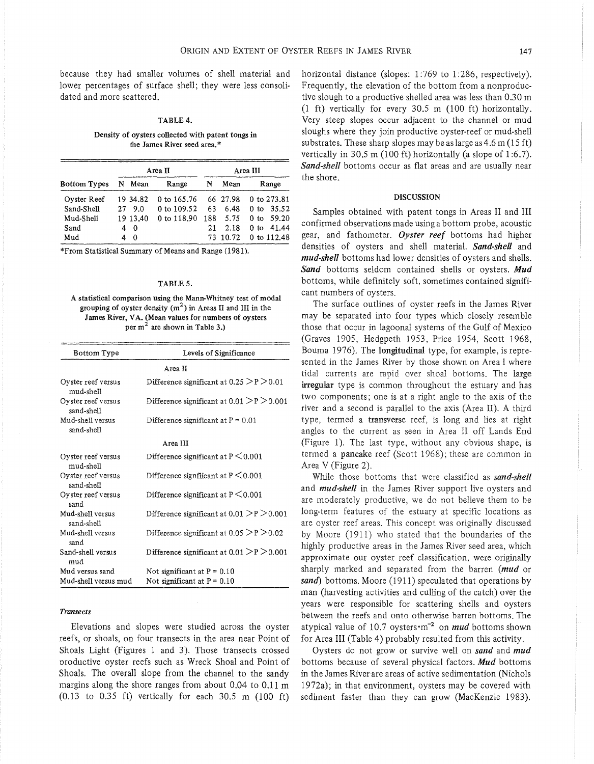because they had smaller volumes of shell material and lower percentages of surface shell; they were less consolidated and more scattered.

# TABLE 4.

Density of oysters collected with patent tongs in the James River seed area.\*

|                     |              | Area II       |     |          | Area III                 |  |  |
|---------------------|--------------|---------------|-----|----------|--------------------------|--|--|
| <b>Bottom Types</b> | N Mean       | Range         | N   | Mean     | Range                    |  |  |
| Oyster Reef         | 19 34.82     | 0 to 165.76   |     | 66 27.98 | 0 to 273.81              |  |  |
| Sand-Shell          | 27 9.0       | 0 to $109.52$ | 63  | 6.48     | 0 to 35.52               |  |  |
| Mud-Shell           | 19 13.40     | 0 to 118.90   | 188 | 5.75     | 0 to 59.20               |  |  |
| Sand                | $\mathbf{0}$ |               | 21  | 2.18     | 41.44<br>0 <sub>to</sub> |  |  |
| Mud                 | $\Omega$     |               |     | 73 10.72 | 0 to 112.48              |  |  |

\*From Statistical Summary of Means and Range (1981).

#### TABLE 5.

A statistical comparison using the Mann-Whitney test of modal grouping of oyster density  $(m^2)$  in Areas II and III in the James River, VA. (Mean values for numbers of oysters per  $m<sup>2</sup>$  are shown in Table 3.)

| <b>Bottom Type</b>               | Levels of Significance                       |
|----------------------------------|----------------------------------------------|
|                                  | Area II                                      |
| Oyster reef versus<br>mud-shell  | Difference significant at $0.25 > P > 0.01$  |
| Oyster reef versus<br>sand-shell | Difference significant at $0.01 > P > 0.001$ |
| Mud-shell versus<br>sand-shell   | Difference significant at $P = 0.01$         |
|                                  | Area III                                     |
| Oyster reef versus<br>mud-shell  | Difference significant at $P \leq 0.001$     |
| Oyster reef versus<br>sand-shell | Difference significant at $P \leq 0.001$     |
| Oyster reef versus<br>sand       | Difference significant at $P \leq 0.001$     |
| Mud-shell versus<br>sand-shell   | Difference significant at $0.01 > P > 0.001$ |
| Mud-shell versus<br>sand         | Difference significant at $0.05 > P > 0.02$  |
| Sand-shell versus<br>mud         | Difference significant at $0.01 > P > 0.001$ |
| Mud versus sand                  | Not significant at $P = 0.10$                |
| Mud-shell versus mud             | Not significant at $P = 0.10$                |

#### *Transects*

Elevations and slopes were studied across the oyster reefs, or shoals, on four transects in the area near Point of Shoals Light (Figures 1 and 3). Those transects crossed productive oyster reefs such as Wreck Shoal and Point of Shoals. The overall slope from the channel to the sandy margins along the shore ranges from about 0.04 to 0.11 m  $(0.13 \text{ to } 0.35 \text{ ft})$  vertically for each 30.5 m  $(100 \text{ ft})$ 

horizontal distance (slopes: 1:769 to 1:286, respectively). Frequently, the elevation of the bottom from a nonproductive slough to a productive shelled area was less than 0.30 m (1 ft) vertically for every 30.5 m (100 ft) horizontally. Very steep slopes occur adjacent to the channel or mud sloughs where they join productive oyster-reef or mud-shell substrates. These sharp slopes may be as large as  $4.6$  m (15 ft) vertically in 30.5 m (100 ft) horizontally (a slope of 1:6.7). *Sand-shell* bottoms occur as flat areas and are usually near the shore.

#### DISCUSSION

Samples obtained with patent tongs in Areas II and III confirmed observations made using a bottom probe, acoustic gear, and fathometer. *Oyster reef* bottoms had higher densities of oysters and shell material. *Sand-shell* and *mud-shell* bottoms had lower densities of oysters and shells. *Sand* bottoms seldom contained shells or oysters. *Mud*  bottoms, while definitely soft, sometimes contained significant numbers of oysters.

The surface outlines of oyster reefs in the James River may be separated into four types which closely resemble those that occur in lagoonal systems of the Gulf of Mexico (Graves 1905, Hedgpeth 1953, Price 1954, Scott 1968, Bouma 1976). The longitudinal type, for example, is represented in the James River by those shown on Area I where tidal currents are rapid over shoal bottoms. The large irregular type is common throughout the estuary and has two components; one is at a right angle to the axis of the river and a second is parallel to the axis (Area II). A third type, termed a transverse reef, is long and lies at right angles to the current as seen in Area II off Lands End (Figure 1). The last type, without any obvious shape, is termed a pancake reef (Scott 1968); these are common in Area V (Figure 2).

While those bottoms that were classified as *sand-shell*  and *mud-shell* in the James River support live oysters and are moderately productive, we do not believe them to be long-term features of the estuary at specific locations as are oyster reef areas. This concept was originally discussed by Moore (1911) who stated that the boundaries of the highly productive areas in the James River seed area, which approximate our oyster reef classification, were originally sharply marked and separated from the barren *(mud* or *sand)* bottoms. Moore (1911) speculated that operations by man (harvesting activities and culling of the catch) over the years were responsible for scattering shells and oysters between the reefs and onto otherwise barren bottoms. The atypical value of 10.7 oysters·m-2 on *mud* bottoms shown for Area III (Table 4) probably resulted from this activity.

Oysters do not grow or survive well on *sand* and *mud*  bottoms because of several physical factors. *Mud* bottoms in the James River are areas of active sedimentation (Nichols 1972a); in that environment, oysters may be covered with sediment faster than they can grow (MacKenzie 1983).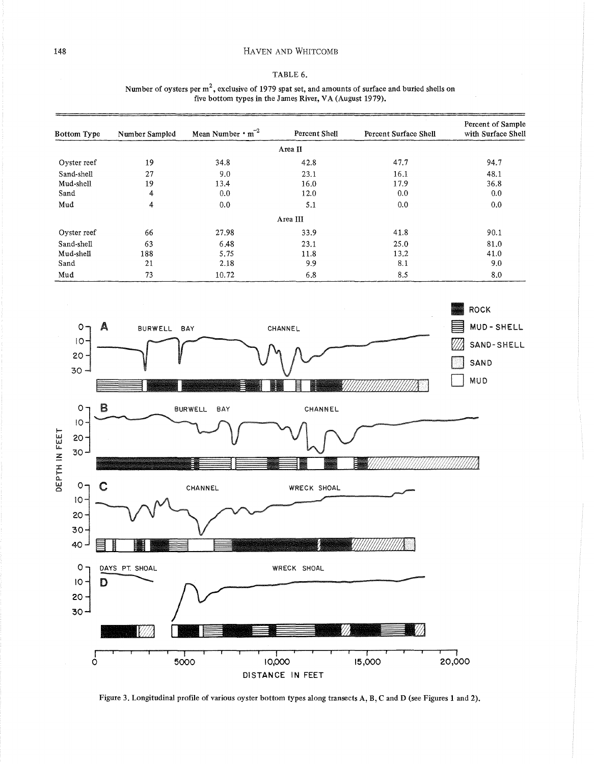# HAVEN AND WHITCOMB

# TABLE 6.

| Number of oysters per $m2$ , exclusive of 1979 spat set, and amounts of surface and buried shells on |                                                         |  |  |
|------------------------------------------------------------------------------------------------------|---------------------------------------------------------|--|--|
|                                                                                                      | five bottom types in the James River, VA (August 1979). |  |  |

| Bottom Type | Number Sampled | Mean Number $\cdot$ m <sup>-2</sup> | Percent Shell | Percent Surface Shell | Percent of Sample<br>with Surface Shell |
|-------------|----------------|-------------------------------------|---------------|-----------------------|-----------------------------------------|
|             |                |                                     | Area II       |                       |                                         |
| Oyster reef | 19             | 34.8                                | 42.8          | 47.7                  | 94.7                                    |
| Sand-shell  | 27             | 9.0                                 | 23.1          | 16.1                  | 48.1                                    |
| Mud-shell   | 19             | 13.4                                | 16.0          | 17.9                  | 36.8                                    |
| Sand        | 4              | 0.0                                 | 12.0          | 0.0                   | 0.0                                     |
| Mud         | 4              | 0.0                                 | 5.1           | 0.0                   | 0.0                                     |
|             |                |                                     | Area III      |                       |                                         |
| Oyster reef | 66             | 27.98                               | 33.9          | 41.8                  | 90.1                                    |
| Sand-shell  | 63             | 6.48                                | 23.1          | 25.0                  | 81.0                                    |
| Mud-shell   | 188            | 5.75                                | 11.8          | 13.2                  | 41.0                                    |
| Sand        | 21             | 2.18                                | 9.9           | 8.1                   | 9.0                                     |
| Mud         | 73             | 10.72                               | 6.8           | 8.5                   | 8.0                                     |



Figure 3. Longitudinal profile of various oyster bottom types along transects A, B, C and D (see Figures 1 and 2).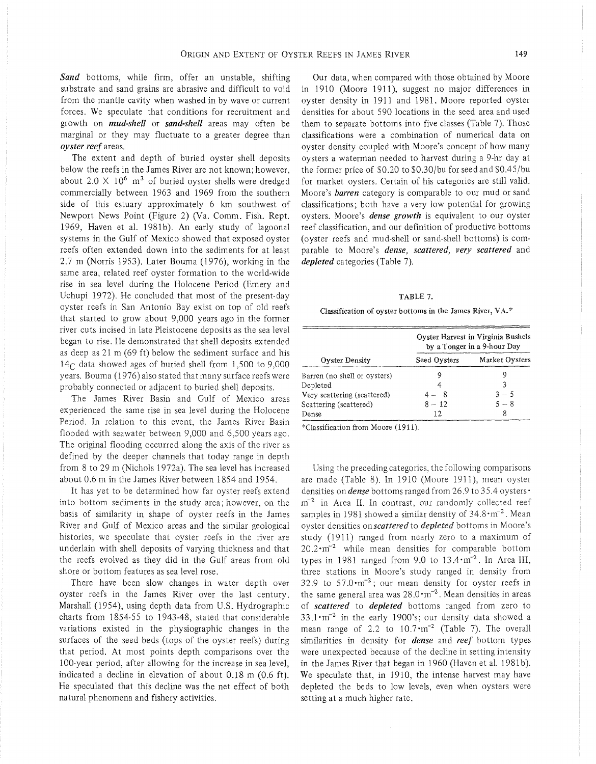*Sand* bottoms, while firm, offer an unstable, shifting substrate and sand grains are abrasive and difficult to void from the mantle cavity when washed in by wave or current forces. We speculate that conditions for recruitment and growth on *mud-shell* or *sand-shell* areas may often be marginal or they may fluctuate to a greater degree than *oyster reef* areas.

The extent and depth of buried oyster shell deposits below the reefs in the James River are not known; however, about 2.0  $\times$  10<sup>6</sup> m<sup>3</sup> of buried oyster shells were dredged commercially between 1963 and 1969 from the southern side of this estuary approximately 6 km southwest of Newport News Point (Figure 2) (Va. Comm. Fish. Rept. 1969, Haven et al. 1981b). An early study of lagoonal systems in the Gulf of Mexico showed that exposed oyster reefs often extended down into the sediments for at least 2.7 m (Norris 1953). Later Bouma (1976), working in the same area, related reef oyster formation to the world-wide rise in sea level during the Holocene Period (Emery and Uchupi 1972). He concluded that most of the present-day oyster reefs in San Antonio Bay exist on top of old reefs that started to grow about 9,000 years ago in the former river cuts incised in late Pleistocene deposits as the sea level began to rise. He demonstrated that shell deposits extended as deep as 21 m (69ft) below the sediment surface and his  $14<sub>C</sub>$  data showed ages of buried shell from 1,500 to 9,000 years. Bouma (1976) also stated that many surface reefs were probably connected or adjacent to buried shell deposits.

The James River Basin and Gulf of Mexico areas experienced the same rise in sea level during the Holocene Period. In relation to this event, the James River Basin flooded with seawater between 9,000 and 6,500 years ago. The original flooding occurred along the axis of the river as defined by the deeper channels that today range in depth from 8 to 29m (Nichols 1972a). The sea level has increased about 0.6 min the James River between 1854 and 1954.

It has yet to be determined how far oyster reefs extend into bottom sediments in the study area; however, on the basis of similarity in shape of oyster reefs in the James River and Gulf of Mexico areas and the similar geological histories, we speculate that oyster reefs in the river are underlain with shell deposits of varying thickness and that the reefs evolved as they did in the Gulf areas from old shore or bottom features as sea level rose.

There have been slow changes in water depth over oyster reefs in the James River over the last century. Marshall (1954), using depth data from U.S. Hydrographic charts from 1854-55 to 1943-48, stated that considerable variations existed in the physiographic changes in the surfaces of the seed beds (tops of the oyster reefs) during that period. At most points depth comparisons over the 1 00-year period, after allowing for the increase in sea level, indicated a decline in elevation of about 0.18 m (0.6 ft). He speculated that this decline was the net effect of both natural phenomena and fishery activities.

Our data, when compared with those obtained by Moore in 1910 (Moore 1911), suggest no major differences in oyster density in 1911 and 1981. Moore reported oyster densities for about 590 locations in the seed area and used them to separate bottoms into five classes (Table 7). Those classifications were a combination of numerical data on oyster density coupled with Moore's concept of how many oysters a waterman needed to harvest during a 9-hr day at the former price of \$0.20 to \$0.30/bu for seed and \$0.45/bu for market oysters. Certain of his categories are still valid. Moore's *barren* category is comparable to our mud or sand classifications; both have a very low potential for growing oysters. Moore's *dense growth* is equivalent to our oyster reef classification, and our definition of productive bottoms (oyster reefs and mud-shell or sand-shell bottoms) is comparable to Moore's *dense, scattered, very scattered* and *depleted* categories (Table 7).

#### TABLE 7.

Classification of oyster bottoms in the James River, VA.\*

|                              | Ovster Harvest in Virginia Bushels<br>by a Tonger in a 9-hour Day |                |  |  |
|------------------------------|-------------------------------------------------------------------|----------------|--|--|
| Oyster Density               | Seed Oysters                                                      | Market Oysters |  |  |
| Barren (no shell or oysters) |                                                                   |                |  |  |
| Depleted                     |                                                                   | 3              |  |  |
| Very scattering (scattered)  | 4 — 8                                                             | $3 - 5$        |  |  |
| Scattering (scattered)       | $8 - 12$                                                          | $5 - 8$        |  |  |
| Dense                        | 12                                                                | 8              |  |  |

\*Classification from Moore (1911).

Using the preceding categories, the following comparisons are made (Table 8). In 1910 (Moore 1911 ), mean oyster densities on *dense* bottoms ranged from 26.9 to 35.4 oysters ·  $m^{-2}$  in Area II. In contrast, our randomly collected reef samples in 1981 showed a similar density of  $34.8 \cdot m^{-2}$ . Mean oyster densities on *scattered* to *depleted* bottoms in Moore's study (1911) ranged from nearly zero to a maximum of  $20.2 \cdot m^{-2}$  while mean densities for comparable bottom types in 1981 ranged from 9.0 to  $13.4 \cdot m^{-2}$ . In Area III, three stations in Moore's study ranged in density from 32.9 to  $57.0 \cdot m^{-2}$ ; our mean density for oyster reefs in the same general area was  $28.0 \cdot m^{-2}$ . Mean densities in areas of *scattered* to *depleted* bottoms ranged from zero to  $33.1 \cdot m^{-2}$  in the early 1900's; our density data showed a mean range of 2.2 to  $10.7 \cdot m^{-2}$  (Table 7). The overall similarities in density for *dense* and *reef* bottom types were unexpected because of the decline in setting intensity in the James River that began in 1960 (Haven et al. 1981b). We speculate that, in 1910, the intense harvest may have depleted the beds to low levels, even when oysters were setting at a much higher rate.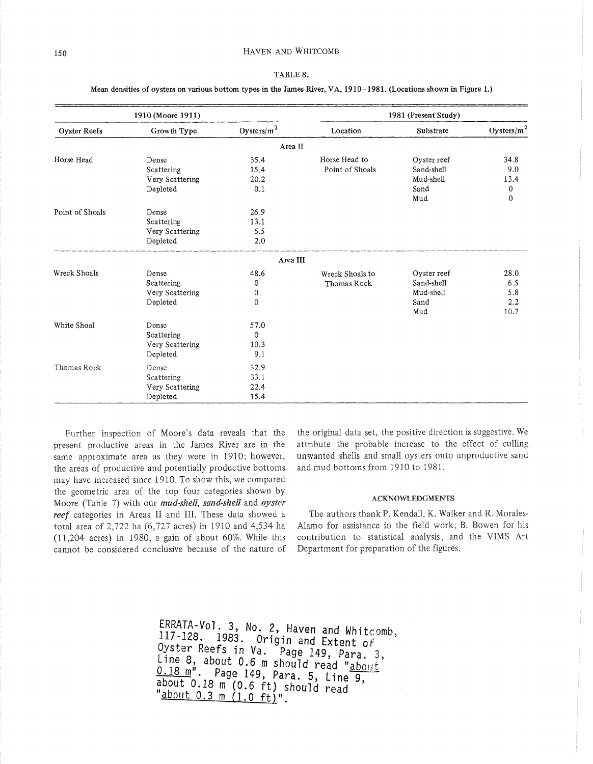|  |  | TABLE |  |
|--|--|-------|--|
|--|--|-------|--|

#### Mean densities of oysters on various bottom types in the James River, VA, 1910-1981. (Locations shown in Figure 1.)

|                     | 1910 (Moore 1911) |                |                 | 1981 (Present Study) |                |
|---------------------|-------------------|----------------|-----------------|----------------------|----------------|
| <b>Oyster Reefs</b> | Growth Type       | Oysters/ $m^2$ | Location        | Substrate            | Oysters/ $m^2$ |
|                     |                   | Area II        |                 |                      |                |
| Horse Head          | Dense             | 35.4           | Horse Head to   | Ovster reef          | 34.8           |
|                     | Scattering        | 15.4           | Point of Shoals | Sand-shell           | 9.0            |
|                     | Very Scattering   | 20.2           |                 | Mud-shell            | 13.4           |
|                     | Depleted          | 0.1            |                 | Sand                 | $\mathbf 0$    |
|                     |                   |                |                 | Mud                  | 0              |
| Point of Shoals     | Dense             | 26.9           |                 |                      |                |
|                     | Scattering        | 13.1           |                 |                      |                |
|                     | Very Scattering   | 5.5            |                 |                      |                |
|                     | Depleted          | 2.0            |                 |                      |                |
|                     |                   | Area III       |                 |                      |                |
| Wreck Shoals        | Dense             | 48.6           | Wreck Shoals to | Oyster reef          | 28.0           |
|                     | Scattering        | $\mathbf 0$    | Thomas Rock     | Sand-shell           | 6.5            |
|                     | Very Scattering   | 0              |                 | Mud-shell            | 5.8            |
|                     | Depleted          | 0              |                 | Sand                 | 2.2            |
|                     |                   |                |                 | Mud                  | 10.7           |
| White Shoal         | Dense             | 57.0           |                 |                      |                |
|                     | Scattering        | $\theta$       |                 |                      |                |
|                     | Very Scattering   | 10.3           |                 |                      |                |
|                     | Depleted          | 9.1            |                 |                      |                |
| Thomas Rock         | Dense             | 32.9           |                 |                      |                |
|                     | Scattering        | 33.1           |                 |                      |                |
|                     | Very Scattering   | 22.4           |                 |                      |                |
|                     | Depleted          | 15.4           |                 |                      |                |

Further inspection of Moore's data reveals that the present productive areas in the James River are in the same approximate area as they were in 1910; however, the areas of productive and potentially productive bottoms may have increased since 1910. To show this, we compared the geometric area of the top four categories shown by Moore (Table 7) with our *mud-shell, sand-shell* and *oyster reef* categories in Areas II and III. These data showed a total area of 2,722 ha (6,727 acres) in 1910 and 4,534 ha (11,204 acres) in 1980, a gain of about 60%. While this cannot be considered conclusive because of the nature of

the original data set, the positive direction is suggestive. We attribute the probable increase to the effect of culling unwanted shells and small oysters onto unproductive sand and mud bottoms from 1910 to 1981.

# ACKNOWLEDGMENTS

The authors thank P. Kendall, K. Walker and R. Morales-Alamo for assistance in the field work; B. Bowen for his contribution to statistical analysis; and the VIMS Art Department for preparation of the figures.

ERRATA-Vol. 3, No. 2, Haven and Whitcomb, 117-128. 1983. Origin and Extent *oi* ' Oyster Reefs in Va. Page 149, Para. 3, Line 8, about 0.6 m should read " $\frac{\text{about}}{\text{about}}$  $0.18$  m<sup>"</sup>. Page 149, Para. 5, Line 9, about 0.18 m<sup>"</sup>(0.6 ft) should read "about 0.3 m (1.0 ft)".